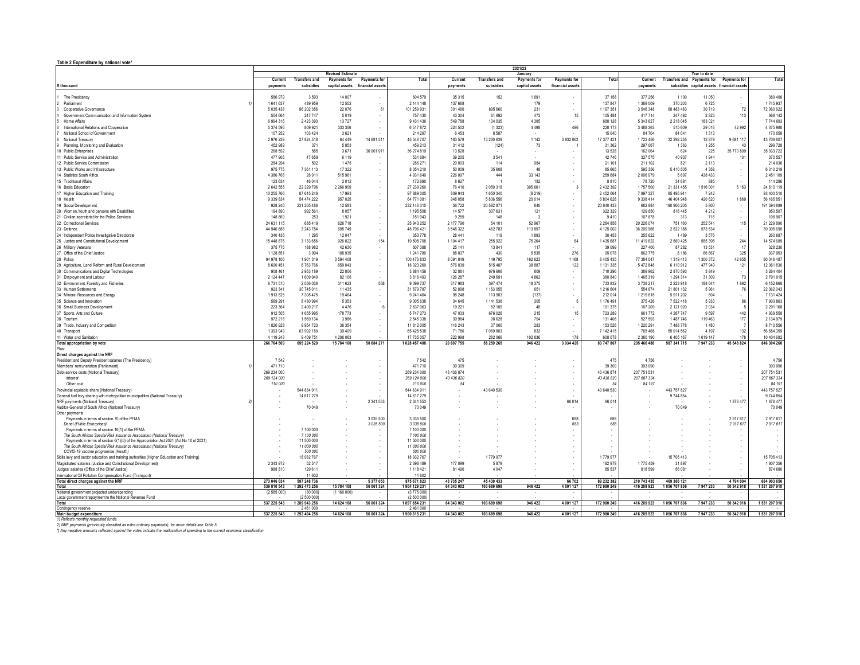**Table 2 Expenditure by national vote\***

|                                                                                                                                  | 2021/22<br><b>Revised Estimate</b><br>Year to date |                              |             |                                 |                             |                          |                           |                         |                    |                           |                            |                                         |           |                                           |                              |
|----------------------------------------------------------------------------------------------------------------------------------|----------------------------------------------------|------------------------------|-------------|---------------------------------|-----------------------------|--------------------------|---------------------------|-------------------------|--------------------|---------------------------|----------------------------|-----------------------------------------|-----------|-------------------------------------------|------------------------------|
|                                                                                                                                  | Current                                            | <b>Transfers and</b>         |             | Payments for Payments for       | Total                       | Current                  | <b>Transfers and</b>      | January<br>Payments for | Payments for       | Total                     | Current                    | Transfers and Payments for Payments for |           |                                           | Total                        |
| R thousand                                                                                                                       | payments                                           | subsidies                    |             | capital assets financial assets |                             | payments                 | subsidies                 | capital assets          | financial assets   |                           | payments                   |                                         |           | subsidies capital assets financial assets |                              |
|                                                                                                                                  |                                                    |                              |             |                                 |                             |                          |                           |                         |                    |                           |                            |                                         |           |                                           |                              |
| The Presidency                                                                                                                   | 586 979                                            | 3593                         | 14 007      |                                 | 604 579                     | 35 315                   | 152                       | 1691                    |                    | 37 158                    | 377 256                    | 1 1 0 0                                 | 11 050    |                                           | 389 406                      |
| Parliament                                                                                                                       | 1641637                                            | 489 959                      | 12 5 52     |                                 | 2 144 148                   | 137 668                  |                           | 179                     |                    | 137847                    | 1 369 009                  | 370 203                                 | 6725      | $\sim$                                    | 1745 937                     |
| Cooperative Governance                                                                                                           | 5 035 438                                          | 96 202 356                   | 22 0 76     | 61                              | 101 259 93                  | 301 460                  | 895 660                   | 231                     |                    | 1 197 351                 | 3 546 348                  | 68 483 483                              | 30719     | 72                                        | 72 060 622                   |
| Government Communication and Information System                                                                                  | 504 664                                            | 247 747                      | 5019        |                                 | 757 43                      | 43 304                   | 61 692                    | 473                     | 15                 | 105484                    | 417 714                    | 247 492                                 | 2823      | 113                                       | 668 142                      |
| Home Affairs                                                                                                                     | 6 994 316                                          | 2 423 393                    | 13727       |                                 | 9 4 3 1 4 3                 | 549 788                  | 134 035                   | 4 3 0 5                 |                    | 688 128                   | 5 343 627                  | 2 2 1 8 0 4 5                           | 183 0 21  |                                           | 7744693                      |
| International Relations and Cooperation                                                                                          | 5 374 595                                          | 809 921                      | 333 356     |                                 | 6517872                     | 224 502                  | (1323)                    | 4 4 9 8                 | 496                | 228 173                   | 3 488 363                  | 515 609                                 | 29 0 16   | 42 992                                    | 4 075 980                    |
| National School of Government                                                                                                    | 107 252                                            | 103 424                      | 3621        |                                 | 214 29                      | 6453                     | 8.587                     |                         |                    | 15 040                    | 84 704                     | 84 041                                  | 1.313     |                                           | 170 058                      |
| National Treasury                                                                                                                | 2976229                                            | 27 824 518                   | 64 449      | 14 681 511                      | 45 546 707                  | 183 578                  | 13 260 639                | 1 1 4 2                 | 3 932 062          | 17 377 421                | 1722 456                   | 32 292 255                              | 12979     | 9681117                                   | 43 708 807                   |
| Planning, Monitoring and Evaluation                                                                                              | 452 989                                            | 371                          | 5853        |                                 | 459 21                      | 31 412                   | (124)                     | 73                      |                    | 31 362                    | 297 067                    | 1 3 6 3                                 | 1 2 5 5   | 43                                        | 299 728                      |
| 10 Public Enterprises                                                                                                            | 268 592                                            | 585                          | 3671        | 36 001 971                      | 36 274 819                  | 13 5 28                  |                           |                         |                    | 13528                     | 162 064                    | 624                                     | 225       | 35 770 809                                | 35 933 722                   |
|                                                                                                                                  |                                                    |                              |             |                                 |                             |                          |                           |                         |                    |                           |                            |                                         |           |                                           |                              |
| 1 Public Service and Administration                                                                                              | 477 906                                            | 47 659                       | 6 1 1 9     |                                 | 531 68                      | 39 20 5                  | 3541                      |                         |                    | 42746                     | 327 575                    | 40 937                                  | 1944      | 101                                       | 370 557                      |
| 12 Public Service Commission                                                                                                     | 284 294                                            | 502                          | 1475        |                                 | 286 27                      | 20 003                   | 114                       | 984                     |                    | 21 10                     | 211 102                    | 821                                     | 2 1 1 3   | $\overline{\phantom{a}}$                  | 214 036                      |
| 13 Public Works and Infrastructure                                                                                               | 975 775                                            | 7 361 113                    | 17 322      |                                 | 8 3 5 4 2 1                 | 50 009                   | 35 608                    | 48                      |                    | 85 665                    | 595 356                    | 5410505                                 | 4 3 5 8   |                                           | 6 010 219                    |
| 14 Statistics South Africa                                                                                                       | 4 386 768                                          | 28 911                       | 515 961     |                                 | 4 931 640                   | 226 097                  | 444                       | 33 143                  |                    | 259 684                   | 2 006 979                  | 5 6 9 7                                 | 438 433   | $\cdot$                                   | 2 451 109                    |
| 15 Traditional Affairs                                                                                                           | 123 634                                            | 46 044                       | 3012        |                                 | 172 69                      | 8627                     |                           | 182                     |                    | 8 8 1 0                   | 78 720                     | 34 681                                  | 885       |                                           | 114 286                      |
| 16 Basic Education                                                                                                               | 2 642 555                                          | 22 329 796                   | 2 266 909   |                                 | 27 239 26                   | 76 410                   | 2 050 318                 | 305 661                 | 3                  | 2 432 392                 | 1757500                    | 21 331 455                              | 1516001   | 5 1 6 3                                   | 24 610 119                   |
| 17 Higher Education and Training                                                                                                 | 10 255 766                                         | 87 615 246                   | 17993       |                                 | 97 889 00                   | 809 943                  | 1 650 340                 | (8219)                  |                    | 2 452 064                 | 7897327                    | 85 495 941                              | 7 2 4 2   |                                           | 93 400 510                   |
| 18 Health                                                                                                                        | 9 3 3 8 8 3 4                                      | 54 474 222                   | 957 025     |                                 | 64 771 08                   | 948 058                  | 5 836 556                 | 20 014                  |                    | 6 804 628                 | 9 3 3 8 4 1 4              | 46 404 948                              | 420 620   | 1869                                      | 56 165 851                   |
| 19 Social Development                                                                                                            | 928 246                                            | 231 205 486                  | 12 5 8 3    |                                 | 232 146 31                  | 56 722                   | 20 582 871                | 840                     |                    | 20 640 433                | 682 884                    | 190 906 205                             | 5 8 0 0   |                                           | 191 594 889                  |
| 20 Women, Youth and persons with Disabilities                                                                                    | 194 890                                            | 992 561                      | 8057        |                                 | 1 195 508                   | 14 577                   | 307 631                   | 121                     |                    | 322 329                   | 129 850                    | 816 445                                 | 4 2 1 2   | $\cdot$                                   | 950 507                      |
| 21 Civilian secretariat for the Police Services                                                                                  | 148 869                                            | 253                          | 1921        |                                 | 151 04:                     | 9 2 5 9                  | 148                       |                         |                    | 9410                      | 107 878                    | 313                                     | 716       |                                           | 108 907                      |
| 22 Correctional Services                                                                                                         | 24 631 115                                         | 685 419                      | 626 718     |                                 | 25 943 25                   | 2 177 790                | 54 101                    | 52 967                  |                    | 2 2 8 4 8 5 8             | 20 226 074                 | 751 160                                 | 252 541   | 115                                       | 21 229 890                   |
| 23 Defence                                                                                                                       | 44 946 888                                         | 3 243 784                    | 605 749     |                                 | 48 796 42                   | 3 548 322                | 462 783                   | 113 897                 |                    | 4 125 002                 | 36 209 968                 | 2 5 2 2 1 8 8                           | 573 534   |                                           | 39 305 690                   |
| 24 Independent Police Investigative Directorate                                                                                  | 340 436                                            | 1 2 9 5                      | 12 047      |                                 | 353 77                      | 28 44 1                  | 119                       | 1893                    |                    | 30453                     | 255 622                    | 1489                                    | 3 5 7 6   |                                           | 260 687                      |
| 25 Justice and Constitutional Development                                                                                        | 15 448 876                                         | 3 133 656                    | 926 022     | 154                             | 19 508 708                  | 1 104 417                | 255 922                   | 75 264                  | 84                 | 1 435 687                 | 11 419 622                 | 2 5 6 9 4 2 5                           | 585 398   | 244                                       | 14 574 689                   |
| 26 Military Veterans                                                                                                             | 375 776                                            | 188 982                      | 42 630      |                                 | 607.38                      | 25 14 1                  | 13841                     | -117                    |                    | 39.099                    | 227 400                    | 87 282                                  | 13531     | 17                                        | 328 230                      |
| 27 Office of the Chief Justice                                                                                                   | 1 1 2 8 8 5 1                                      | 3994                         | 108 935     |                                 | 1 241 7 80                  | 88 837                   | 430                       | 5 5 3 5                 | 276                | 95 0 78                   | 862 775                    | 8 1 8 6                                 | 66 667    | 325                                       | 937 953                      |
| 28 Police                                                                                                                        | 94 978 106                                         | 1901319                      | 3 594 408   |                                 | 100 473 833                 | 8 0 9 1 8 4 9            | 149 795                   | 162 623                 | 1 1 6 8            | 8 4 0 5 4 3 5             | 77 384 047                 | 1319413                                 | 1 300 372 | 42 655                                    | 80 046 487                   |
| 29 Agriculture, Land Reform and Rural Development                                                                                | 8 600 451                                          | 8763766                      | 659 043     |                                 | 18 023 260                  | 576 839                  | 515 487                   | 38 887                  | 122                | 1 131 335                 | 5472848                    | 6 110 912                               | 477949    | 121                                       | 12 061 830                   |
| 30 Communications and Digital Technologies                                                                                       | 908 461                                            | 2953189                      | 22 806      |                                 | 3 8 8 4 4 5                 | 32 881                   | 676 606                   | 809                     |                    | 710 296                   | 389 962                    | 2870593                                 | 3849      | $\overline{\phantom{a}}$                  | 3 2 6 4 4 0 4                |
| 31 Employment and Labour                                                                                                         | 2 124 447                                          | 1 609 940                    | 82 106      |                                 | 3 816 493                   | 126 287                  | 249 691                   | 4 8 6 2                 |                    | 380 840                   | 1465319                    | 1 294 314                               | 31 309    | 73                                        | 2791015                      |
| 32 Environment, Forestry and Fisheries                                                                                           | 6731510                                            | 2 056 036                    | 311 623     | 568                             | 9 0 9 7 3 7                 | 317983                   | 397 474                   | 18 375                  |                    | 733 832                   | 3738217                    | 2 2 2 3 9 1 8                           | 188 641   | 1892                                      | 6 152 668                    |
| 33 Human Settlements                                                                                                             | 923 341                                            | 30 745 011                   | 11 4 3 5    |                                 | 31 679 787                  | 52 898                   | 1 163 055                 | 651                     |                    | 1 216 604                 | 554 874                    | 21 801 132                              | 5 9 6 1   |                                           | 22 362 043                   |
| 34 Mineral Resources and Energy                                                                                                  | 1913 525                                           | 7 308 475                    | 19 4 64     |                                 | 9 241 464                   | 98 24 8                  | 113 903                   | (137)                   |                    | 212014                    | 1 219 618                  | 5911202                                 | 604       | 76                                        | 7 131 424                    |
|                                                                                                                                  |                                                    |                              |             |                                 |                             |                          |                           |                         |                    |                           |                            |                                         |           | $\sim$                                    |                              |
| 35 Science and Innovation                                                                                                        | 569 291                                            | 8 4 3 0 9 9 4                | 5 3 5 3     |                                 | 9 005 638                   | 34 645                   | 1 141 536                 | 305                     | 5                  | 1 176 491                 | 375 426                    | 7 5 2 2 4 1 8                           | 5933      | 86                                        | 7903863                      |
| 36 Small Business Development                                                                                                    | 223 364                                            | 2 409 217                    | 4476        |                                 | 2 637 063                   | 19 221                   | 82 109                    | 45                      |                    | 101 375                   | 167 209                    | 2 121 920                               | 2 0 3 4   | - 5                                       | 2 2 9 1 1 6 8                |
| 37 Sports, Arts and Culture                                                                                                      | 912 505                                            | 4 6 5 9 9 9 5                | 178 773     |                                 | 5 747 273                   | 47 033                   | 676 026                   | 215                     | 15                 | 723 289                   | 661772                     | 4 267 747                               | 9.597     | 442                                       | 4 939 558                    |
| 38 Tourism                                                                                                                       | 972 218                                            | 1 569 134                    | 3986        |                                 | 2 545 338                   | 39 984                   | 90 628                    | 794                     |                    | 131 406                   | 527 593                    | 1487746                                 | 119 463   | 177                                       | 2 134 979                    |
| 39 Trade, Industry and Competition                                                                                               | 1820928                                            | 9 9 5 4 7 2 3                | 36 354      |                                 | 11 812 005                  | 116 243                  | 37 000                    | 283                     |                    | 153 526                   | 1 2 2 0 2 9 1              | 7488778                                 | 1480      | $\overline{7}$                            | 8710556                      |
| 40 Transport                                                                                                                     | 1 3 9 3 9 4 9                                      | 63 992 180                   | 39 4 0 9    |                                 | 65 425 538                  | 71 780                   | 7 069 803                 | 832                     |                    | 7 142 415                 | 765 468                    | 55 914 562                              | 4 1 9 7   | 132                                       | 56 684 359                   |
| 41 Water and Sanitation                                                                                                          | 4 119 243                                          | 9 4 0 9 7 5 1                | 4 206 063   |                                 | 17 735 057                  | 222 998                  | 282 066                   | 102 836                 | 178                | 608 078                   | 2 3 8 0 1 9 0              | 6 4 0 5 1 6 7                           | 1619 147  | 178                                       | 10 404 682                   |
| Total appropriation by vote                                                                                                      | 266 764 509                                        | 695 224 520                  | 15 784 108  | 50 684 271                      | 1028 457 408                | 20 607 755               | 58 259 265                | 946 422                 | 3 9 3 4 4 2 5      | 83 747 867                | 205 466 488                | 587 341 715                             | 7947233   | 45 548 824                                | 846 304 260                  |
| Plus:                                                                                                                            |                                                    |                              |             |                                 |                             |                          |                           |                         |                    |                           |                            |                                         |           |                                           |                              |
| Direct charges against the NRF                                                                                                   |                                                    |                              |             |                                 |                             |                          |                           |                         |                    |                           |                            |                                         |           |                                           |                              |
| President and Deputy President salaries (The Presidency)                                                                         | 7542                                               |                              |             |                                 | 7.543                       | 475                      |                           |                         |                    | 475                       | 4756                       |                                         |           | $\overline{\phantom{a}}$                  | 4756                         |
| Members' remuneration (Parliament)                                                                                               | 471710                                             |                              |             |                                 | 471710                      | 39 30 9                  |                           |                         |                    | 39 30 9                   | 393 090                    |                                         |           | $\overline{\phantom{a}}$                  | 393 090                      |
| Debt-service costs (National Treasury)                                                                                           | 269 234 000                                        |                              |             |                                 | 269 234 000                 | 43 436 874               |                           |                         |                    | 43 436 874                | 207 751 531                |                                         |           | $\overline{\phantom{a}}$                  | 207 751 531                  |
| Interest                                                                                                                         | 269 124 000                                        |                              |             |                                 | 269 124 000                 | 43 436 820               |                           |                         |                    | 43 436 820                | 207 667 334                |                                         |           | $\sim$                                    | 207 667 334                  |
| Other cost                                                                                                                       | 110 000                                            |                              |             |                                 | 110 000                     | .54                      |                           |                         |                    |                           | 84 197                     |                                         |           | $\sim$                                    | 84 197                       |
| Provincial equitable share (National Treasury)                                                                                   |                                                    | 544 834 911                  |             |                                 | 544 834 91                  |                          | 43 640 530                |                         |                    | 43 640 530                |                            | 443 757 827                             |           |                                           | 443 757 827                  |
| General fuel levy sharing with metropolitan municipalities (National Treasury)                                                   |                                                    | 14 617 279                   |             |                                 | 14 617 27                   |                          |                           |                         |                    |                           |                            | 9 744 854                               |           |                                           | 9 744 854                    |
| NRF payments (National Treasury)                                                                                                 |                                                    |                              |             | 2 341 553                       | 2 341 553                   |                          |                           |                         | 66 014             | 66014                     |                            |                                         |           | 1876 477                                  | 1876 477                     |
| Auditor-General of South Africa (National Treasury)                                                                              |                                                    | 70 049                       |             |                                 | 70 049                      |                          |                           |                         |                    |                           |                            | 70 049                                  |           |                                           | 70 049                       |
| Other payments                                                                                                                   |                                                    |                              |             |                                 |                             |                          |                           |                         |                    |                           |                            |                                         |           |                                           |                              |
| Payments in terms of section 70 of the PFMA                                                                                      |                                                    |                              |             | 3 035 500                       | 3 035 500                   |                          |                           |                         | 688                | 688                       |                            |                                         |           | 2917617                                   | 2917617                      |
| Denel (Public Enterprises)                                                                                                       |                                                    |                              |             | 3 0 3 5 5 0 0                   | 3 035 50                    |                          |                           |                         | 688                | 688                       |                            |                                         |           | 2917617                                   | 2917617                      |
| Payments in terms of section 16(1) of the PFMA                                                                                   |                                                    | 7 100 000                    |             |                                 | 7 100 000                   |                          |                           |                         |                    | $\sim$                    |                            |                                         |           |                                           |                              |
| The South African Special Risk Insurance Association (National Treasury)                                                         |                                                    | 7 100 000                    |             |                                 | 7 100 00                    |                          |                           |                         |                    |                           |                            |                                         |           |                                           | $\overline{\phantom{a}}$     |
| Payments in terms of section 6(1)(b) of the Appropriation Act 2021 (Act No 10 of 2021)                                           |                                                    | 11 500 000<br>11,000,000     |             |                                 | 11 500 000                  |                          |                           |                         |                    |                           |                            |                                         |           |                                           | $\overline{\phantom{a}}$     |
| The South African Special Risk Insurance Association (National Treasury)                                                         |                                                    | 500,000                      |             |                                 | 11 000 000<br>500 00        |                          |                           |                         |                    |                           |                            |                                         |           |                                           |                              |
| COVID-19 vaccine programme (Health)<br>Skills levy and sector education and training authorities (Higher Education and Training) |                                                    | 18 932 767                   |             |                                 | 18 932 767                  |                          | 1779 977                  |                         |                    | 1779 977                  |                            | 15 705 413                              |           |                                           | 15 705 413                   |
|                                                                                                                                  | 2 343 972                                          | 52 517                       |             |                                 | 2 396 489                   | 177 099                  | 5879                      |                         |                    | 182978                    | 1775459                    | 31 897                                  |           |                                           | 1807356                      |
| Magistrates' salaries (Justice and Constitutional Development)                                                                   |                                                    | 129 611                      |             |                                 |                             | 81 490                   |                           |                         |                    |                           |                            |                                         |           |                                           |                              |
| Judges' salaries (Office of the Chief Justice)                                                                                   | 988 810                                            |                              |             |                                 | 1 118 421                   |                          | 4 0 47                    |                         |                    | 85 537                    | 818 599                    | 56 081                                  |           |                                           | 874 680                      |
| International Oil Pollution Compensation Fund (Transport)                                                                        |                                                    | 11 602                       |             |                                 | 11 602                      |                          |                           |                         |                    |                           |                            |                                         |           |                                           |                              |
| Total direct charges against the NRF<br>Total                                                                                    | 273 046 034<br>539 810 543                         | 597 248 736<br>1 292 473 256 | 15 784 108  | 5377053<br>56 061 324           | 875 671 823<br>1904 129 231 | 43 735 247<br>64 343 002 | 45 430 433<br>103 689 698 | 946 422                 | 66702<br>4 001 127 | 89 232 382<br>172 980 249 | 210 743 435<br>416 209 923 | 469 366 121<br>1056 707 836             | 7947233   | 4794094<br>50 342 918                     | 684 903 650<br>1 531 207 910 |
| National government projected underspending                                                                                      | (2585000)                                          | (30,000)                     | (1 160 000) |                                 | (377500                     |                          |                           |                         |                    |                           |                            |                                         |           |                                           |                              |
| Local government repayment to the National Revenue Fund                                                                          |                                                    | (2 500 000                   |             |                                 | (2 500 000                  |                          |                           |                         |                    |                           |                            |                                         |           |                                           |                              |
| Total                                                                                                                            | 537 225 543                                        | 1 289 943 256                | 14 624 108  | 56 061 324                      | 1897854231                  | 64 343 002               | 103 689 698               | 946 422                 | 4 001 127          | 172 980 249               | 416 209 923                | 1056 707 836                            | 7947233   | 50 342 918                                | 1531 207 910                 |
| Confingency reserve                                                                                                              |                                                    | 2 461 000                    |             |                                 | 2461000                     |                          |                           |                         |                    |                           |                            |                                         |           |                                           |                              |
| Main budget expenditure                                                                                                          | 537 225 543                                        | 1 292 404 256                | 14 624 108  | 56 061 324                      | 1900315231                  | 64 343 002               | 103 689 698               | 946 422                 | 4 001 127          | 172 980 249               | 416 209 923                | 1056 707 836                            | 7947233   | 50 342 918                                | 1531 207 910                 |
|                                                                                                                                  |                                                    |                              |             |                                 |                             |                          |                           |                         |                    |                           |                            |                                         |           |                                           |                              |

1) Reflects monthly requested funds.<br>2) INFF payments (previously classified as extra ordinary payments), for more details see Table 5.<br>\*) Any negative amounts reflected against the votes indicate the reallocation of spend